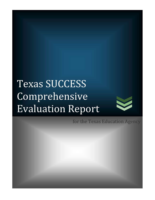# Texas SUCCESS Comprehensive Evaluation Report



for the Texas Education Agency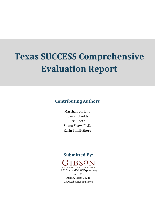# **Texas SUCCESS Comprehensive Evaluation Report**

## **Contributing Authors**

Marshall Garland Joseph Shields Eric Booth Shana Shaw, Ph.D. Karin Samii-Shore

## **Submitted By:**



Austin, Texas 78746 www.gibsonconsult.com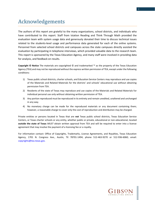# Acknowledgements

The authors of this report are grateful to the many organizations, school districts, and individuals who have contributed to this report. Staff from Istation Reading and Think Through Math provided the evaluation team with system usage data and generously donated their time to discuss technical issues related to the students-level usage and performance data generated for each of the online systems. Personnel from selected school districts and campuses across the state campuses directly assisted the evaluation by participating in telephone interviews, which provided valuable data to the research team. This report is sponsored by the Texas Education Agency, and many staff were involved in providing data for analysis, and feedback on results.

**Copyright © Notice** The materials are copyrighted © and trademarked ™ as the property of the Texas Education Agency (TEA) and may not be reproduced without the express written permission of TEA, except under the following conditions:

- 1) Texas public school districts, charter schools, and Education Service Centers may reproduce and use copies of the Materials and Related Materials for the districts' and schools' educational use without obtaining permission from TEA.
- 2) Residents of the state of Texas may reproduce and use copies of the Materials and Related Materials for individual personal use only without obtaining written permission of TEA.
- 3) Any portion reproduced must be reproduced in its entirety and remain unedited, unaltered and unchanged in any way.
- 4) No monetary charge can be made for the reproduced materials or any document containing them; however, a reasonable charge to cover only the cost of reproduction and distribution may be charged.

Private entities or persons located in Texas that are **not** Texas public school districts, Texas Education Service Centers, or Texas charter schools or any entity, whether public or private, educational or non-educational, located **outside the state of Texas** *MUST* obtain written approval from TEA and will be required to enter into a license agreement that may involve the payment of a licensing fee or a royalty.

For information contact: Office of Copyrights, Trademarks, License Agreements, and Royalties, Texas Education Agency, 1701 N. Congress Ave., Austin, TX 78701-1494; phone 512-463-9270 or 512-936-6060; email: [copyrights@tea.t](mailto:copyrights@tea.)exas.gov.

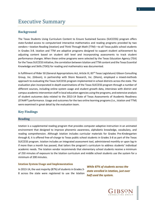# Executive Summary

## **Background**

The Texas Students Using Curriculum Content to Ensure Sustained Success (SUCCESS) program offers state-funded access to computerized interactive mathematics and reading programs provided by two vendors—Istation Reading (Istation) and Think Through Math (TTM)—to all Texas public school students in Grades 3-8. Istation and TTM are adaptive programs designed to support student achievement by adjusting content based on student skill level and incorporating assessments to track student performance changes. When these online programs were selected by the Texas Education Agency (TEA) for the Texas SUCCESS initiative, the correlation between Istation and TTM content and the Texas Essential Knowledge and Skills (TEKS) for reading and mathematics was documented.

In fulfillment of Rider 50 (General Appropriations Act, Article III, 83<sup>rd</sup> Texas Legislature) Gibson Consulting Group, Inc. (Gibson), in partnership with Shore Research, Inc. (Shore), employed a mixed-methods approach to evaluating the Texas SUCCESS program implemented in school districts across the state. The evaluation plan incorporated in-depth examinations of the Texas SUCCESS program through a number of different sources, including online system usage and student growth data, interviews with district and campus academic intervention staff in local education agencies using the programs, and extensive analysis of student outcomes data related to the 2013-14 State of Texas Assessments of Academic Readiness (STAAR®) performance. Usage and outcomes for the two online learning programs (i.e., Istation and TTM) were examined in great detail by the evaluation team.

## **Key Findings**

#### **Reading**

Istation is a supplemental reading program that provides computer-adaptive instruction in an animated environment that designed to improve phonemic awareness, alphabetic knowledge, vocabulary, and reading comprehension. Although Istation includes curricular materials for Grades Pre-Kindergarten through 8, it is offered free-of-charge to Texas public school students in Grades 3-8 as part of the Texas SUCCESS program. Istation includes an integrated assessment tool, administered monthly or upon log-in if more than a month has passed, that tailors the program's curriculum to address students' individual academic needs. The Istation vendor recommends that elementary school students receive a minimum of 250 minutes of exposure to the Istation curriculum and middle school students use the system for a minimum of 200 minutes.

#### **Istation System Usage and Implementation**

In 2013-14, the vast majority (87%) of students in Grades 3- 8 across the state were registered to use the Istation *While 87% of students across the state enrolled in Istation, just over half used the system.* 

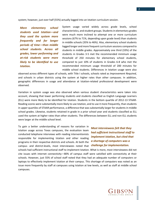system; however, just over half (55%) actually logged into an Istation curriculum session.

*More elementary school students used Istation—and they used the system more frequently and for longer periods of time—than middle school students. Across all grades, lower performing and at-risk students were more likely to be identified to use Istation.*

System usage varied widely across grade levels, school characteristics, and student groups. Students in elementary grades were much more inclined to attempt one or more curriculum sessions (67% to 71%, depending upon grade level) than students in middle schools (35% to 46%). Also, elementary school students logged longer and more frequent curriculum sessions compared to students in middle grades. Approximately one third (33%) of the students in Grades 3-5 met the recommended minimum usage threshold of 250 minutes for elementary school students, compared to just 10% of students in Grades 6-8 who met the recommended minimum usage threshold of 200 minutes for middle school students. Differences in Istation usage were also

observed across different types of schools, with Title I schools, schools rated as *Improvement Required*, and schools in urban districts using the system at higher rates than other campuses. In addition, geographic differences in usage and attendance at Istation-related professional development were observed.

Variation in system usage was also observed when various student characteristics were taken into account, showing that lower performing students and students classified as English Language Learners (ELL) were more likely to be identified for Istation. Students in the bottom quartile of 2012-13 STAAR-Reading scores were substantially more likely to use Istation, and to use it more frequently, than students in upper quartiles of STAAR performance, a difference that was substantially larger for students in middle school grades. Likewise, students retained in grade in a prior school year and students classified as ELL used the system at higher rates than other students. The differences between ELL and non-ELL students were larger at the middle school level.

To gain a better understanding of reasons for variation in Istation usage across Texas campuses, the evaluation team conducted telephone interviews with reading interventionists responsible for implementing Istation and other reading programs in their respective districts and schools. At both the campus- and district-levels, most interviewees noted that schools had sufficient instructional staff to implement Istation. What is more, most interviewees did not cite issues with internet connectivity—80% of campus staff were satisfied with connectivity at their schools. However, just 55% of school staff noted that they had an adequate number of computers or laptops to effectively implement Istation at their campus. This shortage of computers was noted as an issue more frequently by staff at campuses using Istation at low levels, as well as staff at middle school campuses.

*Most interviewees felt that they had sufficient instructional staff to implement Istation, but cited that a shortage of computers was a challenge for implementation.*

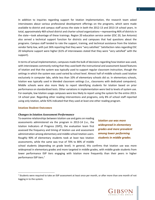In addition to inquiries regarding support for Istation implementation, the research team asked interviewees about various professional development offerings on the programs, which were made available to district and campus staff across the state in both the 2012-13 and 2013-14 school years. In total, approximately 469 school district and charter school organizations—representing 46% of districts in the state—took advantage of these trainings. Region 20 education service center (ESC 20, San Antonio) also served a technical support function for districts and campuses that had questions about the programs. Campus staff tended to rate the support, training, and technical assistance from the Istation vendor fairly low, with just 36% reporting that they were "very satisfied." Satisfaction rates regarding ESC 20 telephone support were higher (61% of interviewees stated that they were "very satisfied" with the support).

In terms of actual implementation, campuses made the bulk of decisions regarding how Istation was used, with interviewees commonly noting that they used both the instructional and assessment-based features of Istation and that the system was typically used to support regular classroom instruction, though the settings in which the system was used varied by school level. Almost half of middle schools used Istation exclusively in computer labs, while less than 10% of elementary schools did so. In elementary schools, Istation was typically used in blended classroom settings (i.e., classrooms with dedicated computers). Middle schools were also more likely to report identifying students for Istation based on prior performance on standardized tests. Other variations in implementation were tied to levels of system use. For example, low Istation usage campuses were less likely to report using the system for the entire 2013- 14 school year. Regarding other reading interventions and programs, only 8% of school staff reported using only Istation, while 92% indicated that they used at least one other reading program.

#### **Istation Student Outcomes**

l

#### *Changes in Istation Assessment Performance*

To examine relationships between Istation use and gains on reading assessments administered via the program in 2013-14 (i.e., the Istation Indicators of Progress (ISIP)), the evaluation team first assessed the frequency and timing of Istation use and assessment administration among elementary and middle school Istation users. Roughly 90% of elementary students took at least two Istation assessments, while the same was true of 70% to 80% of middle

*Istation use was more widespread in elementary grades and more prevalent among lower performing students in middle grades.* 

school students (depending on grade level). In general, this confirms that Istation use was more widespread in elementary grades and more targeted in middle grades, with middle grade students from lower performance ISIP tiers engaging with Istation more frequently than their peers in higher performance ISIP tiers.<sup>1</sup>



<sup>&</sup>lt;sup>1</sup> Students were required to take an ISIP assessment at least once per month, or after more than one month of not logging in to the system.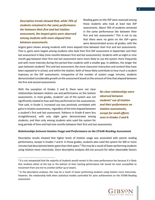*Descriptive trends showed that, while 70% of students remained in the same performance tier between their first and last Istation assessment, the largest gains were observed among students with more elapsed time between assessments.*

Reading gains on the ISIP were assessed among those students who took at least two ISIP assessments. About 70% of students remained in the same performance tier between their first and last assessments.<sup>2</sup> This is not to say that there were no gains on the ISIP—gains were demonstrated across all grades, with the

largest gains shown among students with more elapsed time between their first and last assessments. That is, gains were largest among students who took their first ISIP assessment in September and their last assessment in May (nine months between first and last assessments). Students with an eight or nine month gap between their first and last assessment were more likely to use the system more frequently and with more intensity during this period than students with a smaller gap. In addition, the longer the span between students' first and last assessment, the more classroom instruction and content they have been exposed to in school, and within the Istation. Both of these likely contribute to how much a student improves on the ISIP assessments. Irrespective of the number of system usage minutes, students demonstrated considerable growth on the assessment based on the amount of time that elapsed between the first and second assessments.

With the exception of Grades 3 and 8, there were not clear relationships between Istation use and performance on the Istation assessments. In most grades, students' use of the system was not significantly related to how well they performed on the assessments. That said, in Grade 3, increased use was positively correlated with gains in Istation assessments, regardless of the time elapsed between a student's first and last assessment. Patterns in Grade 8 were less straightforward, with only slight gains demonstrated among students, and then only among students who used the system for

 $\overline{\phantom{a}}$ 

*No clear relationships were observed between students' use of Istation and their performance on Istation assessments, except for small effects seen in Grades 3 and 8.* 

long periods of time and had nine months between their first and last assessments.

#### *Relationships between Istation Usage and Performance on the STAAR-Reading Assessment*

Descriptive results showed that higher levels of Istation usage was associated with poorer reading performance, except in Grades 7 and 8. In those grades, students who used the system for 300 or more minutes had descriptively better gains than their peers.<sup>3</sup> This may be a result of lower performing students using Istation more intensively. Since descriptive analyses did not account for other observable factors



<sup>&</sup>lt;sup>2</sup> It is not unexpected that the majority of students would remain in the same performance tier because it is likely that students either at the top or the bottom of their starting performance tier would be most susceptible to movement from one tier to another (either up or down).

<sup>&</sup>lt;sup>3</sup> In the descriptive analyses, this may be a result of lower performing students using Istation more intensively. However, the relationship held when statistical models controlled for prior achievement on the STAAR-Reading assessment.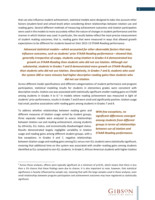that can also influence student achievement, statistical models were designed to take into account other factors (student-level and school-level) when considering direct relationships between Istation use and reading gains. Several different methods of measuring achievement outcomes and Istation participation were used in the models to more accurately reflect the nature of changes in student performance and the manner in which Istation was used. In particular, the results below reflect the most precise measurement of student reading outcomes; that is, reading gains that were measured in ways that allowed growth expectations to be different for students based on their 2012-13 STAAR-Reading performance.

## *Advanced statistical models—which accounted for other observable factors that may influence outcomes, such as students' prior STAAR-Reading performance—showed that, generally irrespective of usage, students using Istation in Grades 4-6 demonstrated less growth on STAAR-Reading than students who did not use Istation. Although not substantial, students in Grades 7 and 8 demonstrated more growth on STAAR-Reading than students who did not use Istation. Descriptively, in Grades 7 and 8, students who used the system 300 or more minutes had higher descriptive reading gains than students who did not use Istation.*

Across different model specifications and different categorizations of student performance and program participation, statistical modeling results for students in elementary grades were consistent with descriptive results. Istation use was associated with statistically significant smaller reading gains on STAAR among students in Grades 4 to 6.<sup>4</sup> In models where reading achievement was measured in light of students' prior performance, results in Grades 7 and 8 were small and significantly positive. Istation usage had small, positive associations with reading gains among students in Grades 7 and 8.

To address whether relationships between reading gains and different measures of Istation usage varied by student groups, three separate models were analyzed to assess relationships between Istation use and reading achievement, among students by ethnicity, ELL status, and economically disadvantaged status. Results demonstrated largely negligible variability in Istation usage and reading gains among different student groups, with a few exceptions. In Grades 4 and 7, negative relationships

 $\overline{a}$ 

*With few exceptions, no significant differences emerged among students from different groups in terms of relationships between use of Istation and STAAR-Reading performance.* 

between Istation usage and reading gains among ELL versus non-ELL students were statistically significant, meaning that additional time on the system was associated with smaller reading gains among students identified as ELL compared to non-ELL students. In Grade 5, African American students with higher Istation



<sup>4</sup> Across these analyses, effects were typically significant at a minimum of p<0.01, which means that there is less than a 1% chance that these findings were due to chance. It is also important to note, however, that statistical significance is heavily influenced by sample size, meaning that with the large samples used in these analyses, even small relationships between program participation and achievement outcomes may have registered as statistically significant.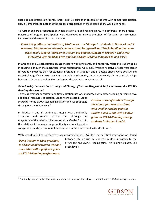usage demonstrated significantly larger, positive gains than Hispanic students with comparable Istation use. It is important to note that the practical significance of these associations was quite minor.

To further explore associations between Istation use and reading gains, five different—more precise measures of program participation were developed to analyze the effect of "dosage," or incremental increases and decreases in Istation usage.

## *Considering different intensities of Istation use—or "dosage"—students in Grades 4 and 5 who used Istation more intensely demonstrated less growth on STAAR-Reading than nonusers, while greater intensity of Istation use among students in Grades 7 and 8 was associated with small positive gains on STAAR-Reading compared to non-users.*

In Grades 4 and 5, each Istation dosage measure was significantly and negatively related to student gains in reading, although the magnitude of the relationships was small. Average negative effects were larger for Grade 4 students than for students in Grade 5. In Grades 7 and 8, dosage effects were positive and statistically significant across each measure of usage intensity. As with previously observed relationships between Istation use and reading outcomes, these effects remained small.

## *Relationship between Consistency and Timing of Istation Usage and Performance on the STAAR-Reading Assessment*

To assess whether consistent and timely Istation use was associated with better reading outcomes, two

additional measures of Istation usage were created: usage *proximity* to the STAAR test administration and use *continuity* throughout the school year.<sup>5</sup>

In Grades 4 and 5, continuous usage was significantly associated with smaller reading gains, although the magnitude of the relationships was small. In Grades 7 and 8, the relationship between usage continuity and reading gains *Consistent use of Istation through the school year was associated with smaller reading gains in Grades 4 and 5, but with positive gains on STAAR-Reading among students in Grades 7 and 8.*

was positive, and gains were notably larger than those observed in Grades 4 and 5.

With regard to findings related to usage proximity to the STAAR test, no statistical association was found

*Using Istation in close proximity to STAAR administration was not associated with significant gains on STAAR-Reading performance.*

 $\overline{\phantom{a}}$ 

between Istation use by students in close proximity to the STAAR test and STAAR-Reading gains. This finding held across all grade levels.



 $5$  Continuity was defined as the number of months in which a student used Istation for at least 30 minutes per month.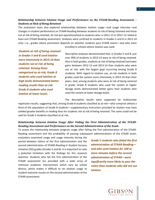## *Relationship between Istation Usage and Performance on the STAAR-Reading Assessment – Students at Risk of Being Retained*

The evaluation team also explored relationships between Istation usage—and usage intensity—and changes in student performance on STAAR-Reading between students at risk of being retained and those not at risk of being retained. *At-risk* was operationalized as students who, in 2011-12 or 2012-13, failed at least one STAAR-Reading assessment. Analyses were confined to students in Grades 5 and 8 in 2013-14 only—i.e., grades where promotion depends on whether students pass STAAR exams—and who were

*Students at risk of being retained in Grades 5 and 8 used Istation more intensively in 2013-14 than students not at risk of being retained. Among those categorized as at-risk, Grade 8 students who used Istation at high levels demonstrated better reading results than at-risk Grade 8 students who used Istation at lower levels.*

enrolled in schools where Istation was used.

Descriptive analyses demonstrated that, in Grades 5 and 8, just over 30% of students in 2013-14 were at risk of being retained. Also in both grades, students at risk of being retained had lower gains between 2012-13 and 2013-14 than students who were not at risk, with the largest gaps occurring among Grade 8 students. With regard to Istation use, at-risk students in both grades used the system more intensively in 2013-14 than their peers. And, among students who were at risk of being retained in grade, Grade 8 students who used the system at higher dosage levels demonstrated better gains than students who used the system at lower dosage levels.

The descriptive results were supported by multivariate

regression results, suggesting that, among Grade 8 students classified as at-risk—who comprise almost a third of the population of Grade 8 students—supplementary instruction provided by Istation may have yielded greater benefits in reading than for students not at risk of being retained. The same could not be said for Grade 5 students classified as at risk.

## *Relationship between Istation Usage After Failing the First Administration of the STAAR-Reading Assessment and Performance on the Second Administration of the Exam*

To assess the relationship between program usage after failing the first administration of the STAAR-Reading assessment and the probability of passing subsequent administrations of the STAAR exam,

evaluators examined usage and usage intensity during the period between failure of the first administration and the second administration of STAAR-Reading in Student Success Initiative (SSI) grades (Grades 5 and 8). It is important to note a potential limitation with the findings for this research question. Students who fail the first administration of the STAAR assessment are provided with a wide array of intensive academic interventions which vary by school district, which makes it difficult to tie Istation usage to student outcome results on the second administration of the STAAR assessment.

*Grade 5 students who failed the first administration of STAAR-Reading and who used Istation for 100 or more minutes before the second administration of STAAR—were significantly more likely to pass the retest than students who did not use Istation.* 

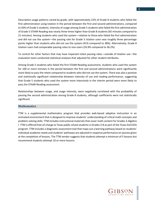Descriptive usage patterns varied by grade, with approximately 22% of Grade 8 students who failed the first administration using Istation in the period between the first and second administrations, compared to 50% of Grade 5 students. Intensity of usage among Grade 5 students who failed the first administration of Grade 5 STAAR-Reading was nearly three times higher than Grade 8 students (65 minutes compared to 21 minutes). Among students who used the system—relative to those who failed the first administration and did not use the system—the passing rate for Grade 5 Istation users was roughly three percentage points higher than students who did not use the system (41% compared to 38%). Alternatively, Grade 8 Istation users had comparable passing rates to non-users (35.9% compared to 36.2%).

To control for other factors that may have impacted retest passing rates—outside of Istation use—the evaluation team conducted statistical analyses that adjusted for other student attributes.

Among Grade 5 students who failed the first STAAR-Reading assessment, students who used the system for 100 or more minutes in the period between the first and second administrations were significantly more likely to pass the retest compared to students who did not use the system. There was also a positive and statistically significant relationship between intensity of use and reading performance, suggesting that Grade 5 students who used the system more intensively in the interim period were more likely to pass the STAAR-Reading assessment.

Relationships between usage, and usage intensity, were negatively correlated with the probability of passing the second administration among Grade 8 students, although coefficients were not statistically significant.

## **Mathematics**

TTM is a supplemental mathematics program that provides web-based adaptive instruction in an animated environment that is designed to improve students' understanding of critical math concepts and problem-solving skills. TTM includes instructional materials that cover math content for Grades 3-Algebra I. TTM is offered free-of-charge to Texas public school students in Grades 3-8 as part of the Texas SUCCESS program. TTM includes a diagnostic assessment tool that maps out a learning pathway based on students' individual academic needs and students' pathways are adjusted in response performance on quizzes given at the completion of lessons. The TTM vendor suggests that students attempt a minimum of 5 lessons but recommend students attempt 10 or more lessons.

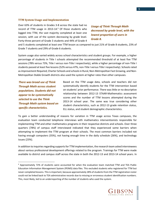#### **TTM System Usage and Implementation**

Over 63% of students in Grades 3-8 across the state had no record of TTM usage in 2013-14. <sup>6</sup> Of those students who logged into TTM, the vast majority completed at least one session, with use of the system decreasing by grade level. Forty-three percent of Grade 3 students and 44% of Grade 4

*Usage of Think Through Math decreased by grade level, with the lowest proportion of users in Grade 8.*

and 5 students completed at least one TTM lesson as compared to just 21% of Grade 8 students, 23% of Grade 7 students and 29% of Grade 6 students.

System usage also varied widely across school characteristics and student groups. For example, a higher percentage of students in Title I schools attempted the recommended threshold of at least five TTM sessions (78% versus 73%, Title I versus non-Title I respectively), while a higher percentage of non-Title I students passed at least five lessons (52% versus 47%, non-Title I versus Title I respectively). Schools rated as *Improvement Required*, Charter Schools and schools in Rural, Non-Metropolitan Fast Growing, and Non-Metropolitan Stable Growth districts also used the system at higher rates than other campuses.

*There was broad use of Think Through Math across student populations. Students did not appear to be systematically selected to use the Think Through Math system based on specific characteristics.* 

 $\overline{a}$ 

Based on the TTM usage data, schools and teachers did not systematically identify students for the TTM intervention based on students' prior performance. There was little or no descriptive relationship between 2012-13 STAAR-Mathematics assessment scores and the number of TTM lessons attempted during the 2013-14 school year. The same was true considering other student characteristics, such as 2012-13 grade retention status, ELL status, and student demographic characteristics.

To gain a better understanding of reasons for variation in TTM usage across Texas campuses, the evaluation team conducted telephone interviews with mathematics interventionists responsible for implementing TTM and other mathematics programs in their respective districts and schools. Over three quarters (78%) of campus staff interviewed indicated that they experienced some barriers when attempting to implement the TTM program at their schools. The most common barriers included not having enough computers (35%), not having enough time in the daily schedule (26%), and technology issues (23%).

In addition to inquiries regarding supports for TTM implementation, the research team asked interviewees about various professional development offerings related to the program. Trainings for TTM were made available to district and campus staff across the state in both the 2012-13 and 2013-14 school years. In



<sup>6</sup> Approximately 72% of students were accounted for when the evaluation team matched TTM and TEA Public Education Information Management System (PEIMS) data files. This excluded students who registered for TTM but never completed lessons. This is important, because approximately 28% of students from the TTM registration roster could not be linked back to TEA administrative records due to missing or erroneous student identification numbers. This, most likely, led to an underreporting of the number of students who used the system.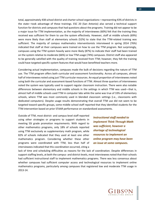total, approximately 438 school district and charter school organizations—representing 43% of districts in the state—took advantage of these trainings. ESC 20 (San Antonio) also served a technical support function for districts and campuses that had questions about the programs. Training did not appear to be a major issue for TTM implementation, as the majority of interviewees (60%) felt that the training they received was sufficient for them to use the system effectively. However, staff at middle schools (69%) were more likely than staff at elementary schools (52%) to state that the TTM-related training was sufficient. The majority of campus mathematics interventionists interviewed in spring 2014 (76%) indicated that staff at their campuses were trained on how to use the TTM program. Not surprisingly, campuses using the TTM system heavily were more likely (87%) to indicate their staff had been trained on the system relative to moderate (66%) or low TTM usage (74%) campuses. District staff also appeared to be generally satisfied with the quality of training received from TTM; however, they felt the training could have targeted specific system features that would have benefitted teachers more.

Considering actual implementation, campuses made the bulk of decisions regarding the nature of TTM use. The TTM program offers both curricular and assessment functionality. Across all campuses, almost half of interviewees noted using just TTM curricular resources. An equal proportion of interviewees noted using both the curricular and assessment-based functions of TTM. Almost three quarters of interviewees noted the system was typically used to support regular classroom instruction. There were also notable differences between elementary and middle schools in the settings in which TTM was used—that is, almost half of middle schools used TTM in computer labs while the same was true of 33% of elementary schools, where TTM was most commonly used in blended classroom settings (i.e., classrooms with dedicated computers). Despite usage results demonstrating that overall TTM use did not seem to be targeted toward specific groups, some middle school staff reported that they identified students for the TTM intervention based on prior STAAR performance on standardized assessments.

Outside of TTM, most district- and campus-level staff reported using other strategies or programs to support students in meeting SSI grade promotion requirements. With regard to other mathematics programs, only 18% of schools reported using TTM exclusively as supplementary math program, while 82% of schools indicated that they used at least one other mathematics program. Considering whether these other programs were coordinated with TTM, less than half of interviewees indicated that this coordination occurred, citing a

*Instructional staff needed to implement Think Through Math was sufficient, however a shortage of technological resources to implement an online program may have been an issue at some campuses.*

lack of time and scheduling difficulties as reasons for the lack of coordination. Despite differences in support staffing levels, at both the campus- and district-levels, most interviewees noted that their schools had sufficient instructional staff to implement mathematics programs. There was less consensus about whether campuses had sufficient computer access and technological resources to implement online mathematics programs, particularly among campuses that registered low and moderate TTM usage in 2013-14.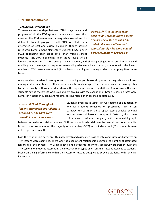#### **TTM Student Outcomes**

#### *TTM Lesson Performance*

To examine relationships between TTM usage levels and progress within the TTM system, the evaluation team first assessed the TTM assessment passing rates, overall and by different student groups. Overall, 94% of TTM users attempted at least one lesson in 2013-14, though passing rates were higher among elementary students (96% to over 99%) depending upon grade level) than middle school students (85%-90%) depending upon grade level). Of all

*Overall, 94% of students who used Think Through Math passed at least one lesson in 2013-14, and of all lessons attempted approximately 43% were passed across students in Grades 3-8.* 

lessons attempted in 2013-14, roughly 43% were passed, with similar passing rates across elementary and middle grades. Average passing rates across all grades were lowest among students with the lowest number of TTM lessons attempted (1 to 4 lessons) and highest among students attempting 20 or more lessons.

Analyses also considered passing rates by student groups. Across all grades, passing rates were lower among students identified as ELL and economically disadvantaged. There were also gaps in passing rates by race/ethnicity, with Asian students having the highest passing rates and African American and Hispanic students having the lowest. Across all student groups, with the exception of Grade 7, passing rates were highest in August. In subsequent months, passing rates either declined or plateaued.

*Across all Think Through Math lessons attempted by students in Grades 3-8, one third were remedial or retaken lessons.* 

Students' progress in using TTM was defined as a function of whether students remained on prescribed TTM lesson pathways (on path) or had to repeat lessons or take remedial lessons. Across all lessons attempted in 2013-14, almost two thirds were considered on path, with the remaining split

between remedial or retaken lessons. Of those students who did have to take at least one remedial lesson—or retake a lesson—the majority of elementary (95%) and middle school (85%) students were able to get back on path.

Last, the relationship between TTM usage levels and associated passing rates and successful progress on TTM lessons were examined. There was not a consistent relationship between the number of attempted lessons (i.e., the primary TTM usage metric) and a students' ability to successfully progress through the TTM system for students attempting the most common types of lessons (i.e., lessons assigned to students based on their performance within the system or lessons designed to provide students with remedial instruction).

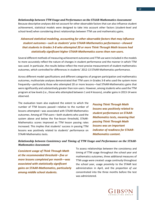*Relationship between TTM Usage and Performance on the STAAR-Mathematics Assessment* Because descriptive analyses did not account for other observable factors that can also influence student achievement, statistical models were designed to take into account other factors (student-level and school-level) when considering direct relationships between TTM use and mathematics gains.

## *Advanced statistical modeling, accounting for other observable factors that may influence student outcomes*—*such as students' prior STAAR-Mathematics performance*—*showed that students in Grades 3-8 who attempted 20 or more Think Through Math lessons had statistically significant higher STAAR-Mathematics scores than non-users.*

Several different methods of measuring achievement outcomes and TTM use were included in the models to more accurately reflect the nature of changes in student performance and the manner in which TTM was used. In particular, the results below reflect the most precise measurement of student mathematics outcomes, which controlled for differences in students' 2012-13 STAAR-Mathematics performance.

Across different model specifications and different categories of program participation and mathematics outcomes, multivariate analyses demonstrated that TTM users in Grades 3-8 who used the system more frequently—particularly those who attempted 20 or more lessons—had STAAR-Mathematics gains that were significantly and substantively greater than non-users. However, among students who used the TTM program at low levels (i.e., those who attempted between 1 and 4 lessons), smaller gains in 2013-14 were observed.

The evaluation team also explored the extent to which the number of TTM lessons passed—relative to the number of lessons attempted—was associated with STAAR-Mathematics outcomes. Among all TTM users—both students who used the system above and below the five-lesson threshold, STAAR-Mathematics scores improved as TTM lesson passing rates increased. This implies that students' success in passing TTM lessons was positively related to students' performance on STAAR-Mathematics tests.

*Passing Think Through Math lessons was positively related to student performance on STAAR-Mathematics tests, meaning that passing Think Through Math lessons was an important indicator of readiness for STAAR-Mathematics content.* 

## *Relationship between Consistency and Timing of TTM Usage and Performance on the STAAR-Mathematics Assessment*

*Consistent usage of Think Through Math at the recommended threshold—five or more lessons completed per month—was associated with statistically significant gains on STAAR-Mathematics, particularly among middle school students.*

To assess relationships between the consistency and timing of TTM usage throughout the school year and mathematics outcomes, three additional measures of TTM usage were created: usage *continuity* throughout the school year, usage *proximity* to the STAAR test administration in April, and the *proportion of use*  concentrated into the three months before the test was administered.

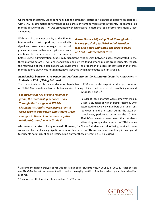Of the three measures, usage continuity had the strongest, statistically significant, positive associations with STAAR-Mathematics performance gains, particularly among middle grade students. For example, six months of five or more TTM was associated with larger gains in mathematics performance among Grade 8 students.

With regard to usage proximity to the STAAR-Mathematics test, positive, statistically significant associations emerged across all grades between mathematics gains and each additional lesson attempted in the month

*Across Grades 3-8, using Think Through Math in close proximity to STAAR administration was associated with small but positive gains on STAAR-Mathematics tests.*

before STAAR administration. Statistically significant relationships between usage concentrated in the three months before STAAR and standardized gains were found among middle grade students, though the magnitude of these associations was quite small. The proportion of usage concentrated in the three months before STAAR was not significantly associated with mathematics gains in Grade 4.

### *Relationship between TTM Usage and Performance on the STAAR-Mathematics Assessment – Students at Risk of Being Retained*

The evaluation team also explored relationships between TTM usage and changes in student performance on STAAR-Mathematics between students at risk of being retained and those not at risk of being retained

*For students at risk of being retained in grade, the relationship between Think Through Math usage and STAAR-Mathematics results were inconsistent. A small positive association with system usage emerged in Grade 5 and a small negative relationship was found in Grade 8.*

in Grades 5 and 8.<sup>7</sup>

Results of these analyses were somewhat mixed. Grade 5 students at risk of being retained, who attempted relatively low numbers of TTM lessons (between 5 and 9 lessons) during the 2013-14 school year, performed better on the 2013-14 STAAR-Mathematics assessment than students attempting comparable numbers of TTM lessons

who were not at risk of being retained.<sup>8</sup> However, for Grade 8 students at risk of being retained, there was a negative, statistically significant relationship between TTM use and mathematics gains compared to students not at risk of being retained, but only for those attempting 15-19 lessons.

 $\overline{\phantom{a}}$ 



<sup>&</sup>lt;sup>7</sup> Similar to the Istation analysis, at-risk was operationalized as students who, in 2011-12 or 2012-13, failed at least one STAAR-Mathematics assessment, which resulted in roughly one third of students in both grades being classified as at-risk.

<sup>8</sup> There was no effect for students attempting 10 to 20 lessons.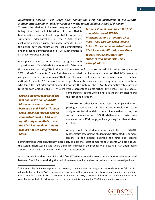*Relationship between TTM Usage after Failing the First Administration of the STAAR-Mathematics Assessment and Performance on the Second Administration of the Exam*

To assess the relationship between program usage after failing the first administration of the STAAR-Mathematics assessment and the probability of passing subsequent administrations of the STAAR exam, evaluators examined usage and usage intensity during the period between failure of the first administration and the second administration of STAAR-Mathematics in SSI grades (Grades 5 and 8). $9$ 

Descriptive usage patterns varied by grade, with approximately 14% of Grade 8 students who failed the

*Grade 5 students who failed the first administration of STAAR-Mathematics and attempted 15 or more Think Through Math lessons before the second administration of STAAR were significantly more likely to pass the STAAR retest than students who did not use Think Through Math.* 

first administration using TTM in the period between the first and second administrations, compared to 29% of Grade 5 students. Grade 5 students who failed the first administration of STAAR-Mathematics completed over two times as many TTM lessons between the first and second administrations of the test as Grade 8 students (2.3 compared to 1 attempt). Among students who used the system—relative to those who failed the first administration and did not use the system—the STAAR-Mathematics retest passing rates for both Grades 5 and 8 TTM users were 3 percentage points higher (45% versus 42% in Grade 5)

*Grade 8 students who failed the first administration of STAAR-Mathematics and attempted between 1 and 9 Think Through Math lessons before the second administration of STAAR were significantly more likely to pass the STAAR retest than students who did not use Think Through Math.* 

 $\overline{\phantom{a}}$ 

compared to students who did not use the system after failing the first administration.

To control for other factors that may have impacted retest passing rates—outside of TTM use—the evaluation team analyzed statistical models to determine whether passing the second administration STAAR-Mathematics tests was associated with TTM usage, while adjusting for other student attributes.

Among Grade 5 students who failed the first STAAR-Mathematics assessment, students who attempted 15 or more lessons in the period between the first and second

administrations were significantly more likely to pass the retest compared to students who did not use the system. There was no statistically significant increase in the probability of passing STAAR upon retake among students with between 1 and 14 lessons attempted.

Among Grade 8 students who failed the first STAAR-Mathematics assessment, students who attempted between 5 and 9 lessons during the period between the first and second administration were significantly

<sup>&</sup>lt;sup>9</sup> Similar to the limitation expressed for Istation, It is important to recognize that students who fail the first administration of the STAAR assessment are provided with a wide array of intensive mathematics interventions which vary by school district. Therefore, in addition to TTM, a variety of factors and interventions may be contributing to student performance on the second administration of the STAAR-mathematics assessment.

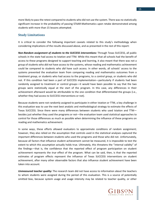more likely to pass the retest compared to students who did not use the system. There was no statistically significant increase in the probability of passing STAAR-Mathematics upon retake demonstrated among students with more than 15 lessons attempted.

## **Study Limitations**

It is critical to consider the following important caveats related to this study's methodology when considering implications of the results discussed above, and as presented in the rest of this report:

*Non-Random assignment of students to the SUCCESS interventions:* Through Texas SUCCESS, all public schools in the state had access to Istation and TTM. While this meant that all schools had the benefit of access to these programs designed to support teaching and learning, it also meant that there was not a group of students who *did not* have access to the systems, whose reading and mathematics achievement could be compared to students who *did* have such access. In other words, all schools' access to the systems prevented the evaluation team from comparing reading and mathematics outcomes from a *treatment group*, or students who had access to the programs, to a *control group*, or students who did not. If this condition had been a part of SUCCESS implementation—particularly if students had been randomly assigned to treatment or control groups—it would have been possible to say that the two groups were statistically equal at the start of the program. In this case, any differences in their achievement afterward would be attributable to the one condition that differentiated the groups (i.e., whether they had access to SUCCESS interventions or not).

Because students were not randomly assigned to participate in either Istation or TTM, a key challenge in this evaluation was to use the next best analytic and methodological strategy to estimate the effects of Texas SUCCESS. Since there were many differences between students who used Istation and TTM besides just whether they used the programs or not—the evaluation team used statistical approaches to control for those differences as much as possible when determining the influence of these programs on reading and mathematics achievement.

In some ways, these efforts allowed evaluators to approximate conditions of random assignment; however, they also relied on the assumption that controls used in the statistical analyses captured the important differences between students who used the programs and those who did not. Unfortunately, because all factors that influence student achievement cannot be measured, it is impossible to test the extent to which this assumption actually holds true. Ultimately, this threatens the "internal validity" of the findings—that is, the confidence that the reported effect of program participation on student achievement represents the *true* effect of the program. What can be said, then, is that the reported estimates of program effects represent the influence of Texas SUCCESS interventions on student achievement, after many other observable factors that also influence student achievement have been taken into account.

*Unmeasured teacher quality:* The research team did not have access to information about the teachers to whom students were assigned during the period of this evaluation. This is a source of potentially omitted bias, because system usage and usage intensity may be related to teacher quality, or other

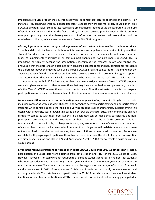important attributes of teachers, classroom activities, or contextual features of schools and districts. For instance, if students who were assigned to less effective teachers were also more likely to use either Texas SUCCESS program, lower student test score gains among those students could be attributed to their use of Istation or TTM, rather than to the fact that they may have received poor instruction. This is but one example supporting the notion that—given a lack of information on teacher quality—caution should be used when attributing achievement outcomes to Texas SUCCESS programs.

*Missing information about the types of supplemental instruction or interventions students received:* Schools and districts implement a plethora of interventions and supplementary services to improve their students' academic outcomes. The research team did not have any systematic information on the other types of supplementary instruction or services participants and non-participants received. This is important, particularly because the assumption underpinning the research design and multivariate analyses is that the difference in outcomes between participant students and non-participants represents the difference between students who use a Texas SUCCESS program compared to students under the "business as usual" condition, or those students who received the typical assortment of program supports and interventions that were available to students who were not Texas SUCCESS participants. This assumption may not hold if, for instance, students who were assigned to use a Texas SUCCESS program were also given a number of other interventions that may have neutralized, or complemented, the effect of either Texas SUCCESS intervention on student performance. Thus, the estimate of the effect of program participation may be impacted by a number of other interventions that are unmeasured in the evaluation.

*Unmeasured differences between participating and non-participating students*: Despite best efforts, including comparing within-student changes in performance between participating and non-participating students while controlling for other fixed and varying student-level characteristics, supplementing this design with propensity score reweighting based on observable characteristics, and confining the analytic sample to campuses with registered students, no guarantee can be made that participants and nonparticipants are identical with the exception of their exposure to the SUCCESS program. This is a fundamental, and unavoidable, challenge confronting any attempts to draw inferences about the effect of a social phenomenon (such as an academic intervention) using observational data where students were not randomized to receive, or not receive, treatment. If these unmeasured, or omitted, factors are correlated with program participation or the outcome, the estimates of the effect of program intervention are biased. See Gelman and Hill (2007) and Angrist and Pischke (2009) for accessible discussions of this source of bias.

**Error in the measure of student participation in Texas SUCCESS during the 2012-13 school year:** Program participation and usage data were obtained from both Istation and TTM for the 2012-13 school year. However, school district staff were not required to use unique student identification numbers for students who were uploaded to each vendor's registration system until the 2013-14 school year. Consequently, the match rate between TEA administrative records and the registration and usage information from each vendor was weaker in 2012-13 compared to 2013-14, and it varied systematically between vendors and across grade levels. Thus, students who participated in 2012-13 but who did not have a unique student identification number in the Istation and TTM systems would not be identified as having participated in